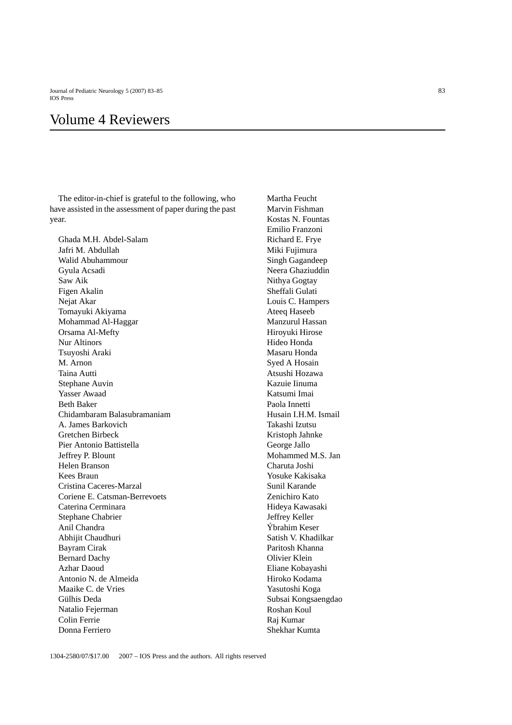## Volume 4 Reviewers

The editor-in-chief is grateful to the following, who have assisted in the assessment of paper during the past year.

Ghada M.H. Abdel-Salam Jafri M. Abdullah Walid Abuhammour Gyula Acsadi Saw Aik Figen Akalin Nejat Akar Tomayuki Akiyama Mohammad Al-Haggar Orsama Al-Mefty Nur Altinors Tsuyoshi Araki M. Arnon Taina Autti Stephane Auvin Yasser Awaad Beth Baker Chidambaram Balasubramaniam A. James Barkovich Gretchen Birbeck Pier Antonio Battistella Jeffrey P. Blount Helen Branson Kees Braun Cristina Caceres-Marzal Coriene E. Catsman-Berrevoets Caterina Cerminara Stephane Chabrier Anil Chandra Abhijit Chaudhuri Bayram Cirak Bernard Dachy Azhar Daoud Antonio N. de Almeida Maaike C. de Vries Gülhis Deda Natalio Fejerman Colin Ferrie Donna Ferriero

Martha Feucht Marvin Fishman Kostas N. Fountas Emilio Franzoni Richard E. Frye Miki Fujimura Singh Gagandeep Neera Ghaziuddin Nithya Gogtay Sheffali Gulati Louis C. Hampers Ateeq Haseeb Manzurul Hassan Hiroyuki Hirose Hideo Honda Masaru Honda Syed A Hosain Atsushi Hozawa Kazuie Iinuma Katsumi Imai Paola Innetti Husain I.H.M. Ismail Takashi Izutsu Kristoph Jahnke George Jallo Mohammed M.S. Jan Charuta Joshi Yosuke Kakisaka Sunil Karande Zenichiro Kato Hideya Kawasaki Jeffrey Keller Ýbrahim Keser Satish V. Khadilkar Paritosh Khanna Olivier Klein Eliane Kobayashi Hiroko Kodama Yasutoshi Koga Subsai Kongsaengdao Roshan Koul Raj Kumar Shekhar Kumta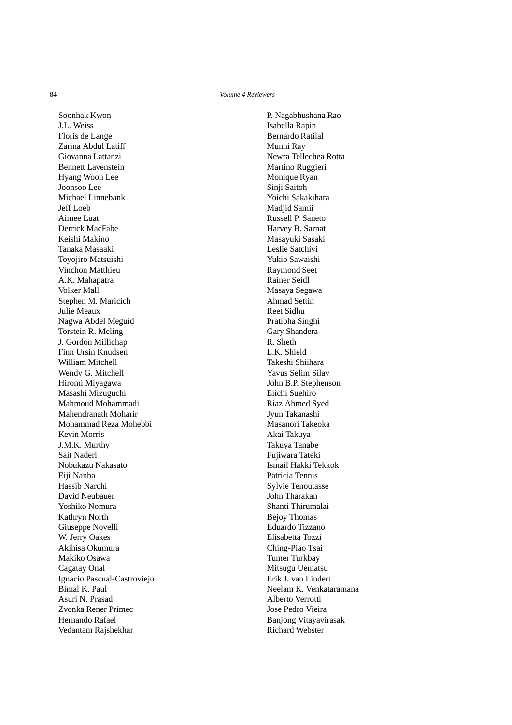Soonhak Kwon J.L. Weiss Floris de Lange Zarina Abdul Latiff Giovanna Lattanzi Bennett Lavenstein Hyang Woon Lee Joonsoo Lee Michael Linnebank Jeff Loeb Aimee Luat Derrick MacFabe Keishi Makino Tanaka Masaaki Toyojiro Matsuishi Vinchon Matthieu A.K. Mahapatra Volker Mall Stephen M. Maricich Julie Meaux Nagwa Abdel Meguid Torstein R. Meling J. Gordon Millichap Finn Ursin Knudsen William Mitchell Wendy G. Mitchell Hiromi Miyagawa Masashi Mizuguchi Mahmoud Mohammadi Mahendranath Moharir Mohammad Reza Mohebbi Kevin Morris J.M.K. Murthy Sait Naderi Nobukazu Nakasato Eiji Nanba Hassib Narchi David Neubauer Yoshiko Nomura Kathryn North Giuseppe Novelli W. Jerry Oakes Akihisa Okumura Makiko Osawa Cagatay Onal Ignacio Pascual-Castroviejo Bimal K. Paul Asuri N. Prasad Zvonka Rener Primec Hernando Rafael Vedantam Rajshekhar

P. Nagabhushana Rao Isabella Rapin Bernardo Ratilal Munni Ray Newra Tellechea Rotta Martino Ruggieri Monique Ryan Sinji Saitoh Yoichi Sakakihara Madjid Samii Russell P. Saneto Harvey B. Sarnat Masayuki Sasaki Leslie Satchivi Yukio Sawaishi Raymond Seet Rainer Seidl Masaya Segawa Ahmad Settin Reet Sidhu Pratibha Singhi Gary Shandera R. Sheth L.K. Shield Takeshi Shiihara Yavus Selim Silay John B.P. Stephenson Eiichi Suehiro Riaz Ahmed Syed Jyun Takanashi Masanori Takeoka Akai Takuya Takuya Tanabe Fujiwara Tateki Ismail Hakki Tekkok Patricia Tennis Sylvie Tenoutasse John Tharakan Shanti Thirumalai Bejoy Thomas Eduardo Tizzano Elisabetta Tozzi Ching-Piao Tsai Tumer Turkbay Mitsugu Uematsu Erik J. van Lindert Neelam K. Venkataramana Alberto Verrotti Jose Pedro Vieira Banjong Vitayavirasak Richard Webster